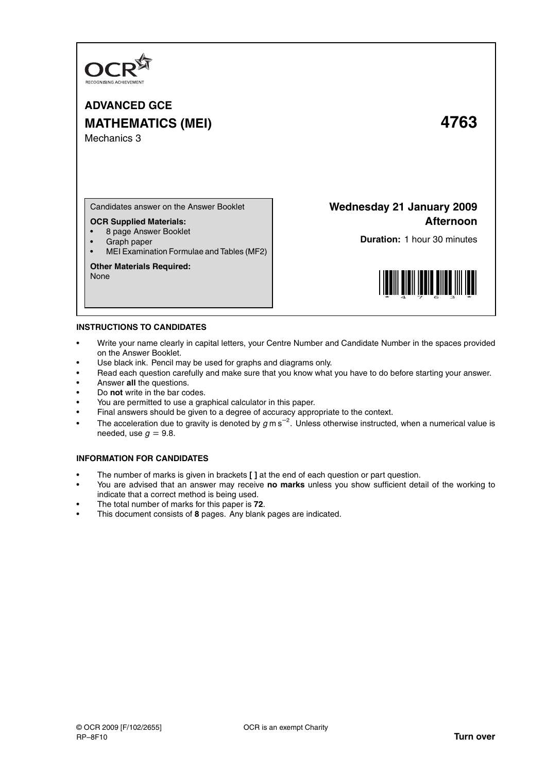

# **ADVANCED GCE MATHEMATICS (MEI) 4763** Mechanics 3

Candidates answer on the Answer Booklet

### **OCR Supplied Materials:**

- 8 page Answer Booklet
- Graph paper
- MEI Examination Formulae and Tables (MF2)

#### **Other Materials Required:** None

**Wednesday 21 January 2009 Afternoon**

**Duration:** 1 hour 30 minutes



### **INSTRUCTIONS TO CANDIDATES**

- Write your name clearly in capital letters, your Centre Number and Candidate Number in the spaces provided on the Answer Booklet.
- Use black ink. Pencil may be used for graphs and diagrams only.
- Read each question carefully and make sure that you know what you have to do before starting your answer.
- Answer **all** the questions.
- Do **not** write in the bar codes.
- You are permitted to use a graphical calculator in this paper.
- Final answers should be given to a degree of accuracy appropriate to the context.
- The acceleration due to gravity is denoted by  $g$  m s<sup>-2</sup>. Unless otherwise instructed, when a numerical value is needed, use  $q = 9.8$ .

### **INFORMATION FOR CANDIDATES**

- The number of marks is given in brackets **[ ]** at the end of each question or part question.
- You are advised that an answer may receive **no marks** unless you show sufficient detail of the working to indicate that a correct method is being used.
- The total number of marks for this paper is **72**.
- This document consists of **8** pages. Any blank pages are indicated.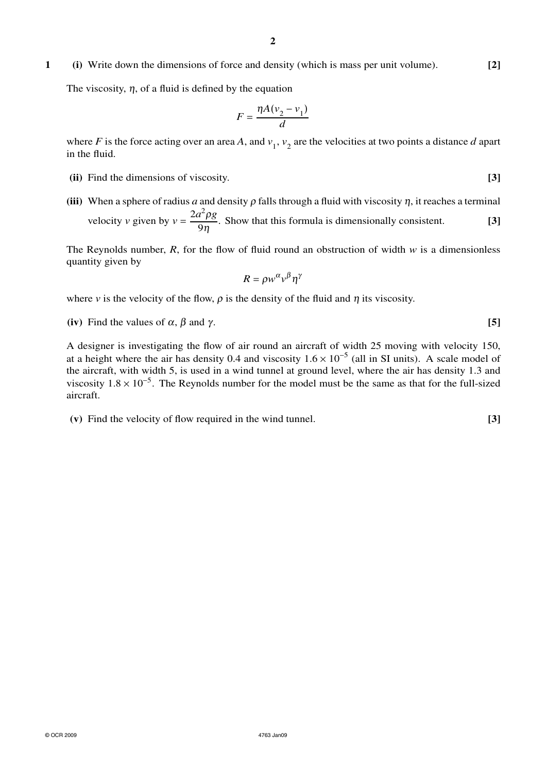## **1 (i)** Write down the dimensions of force and density (which is mass per unit volume). **[2]**

The viscosity,  $\eta$ , of a fluid is defined by the equation

$$
F = \frac{\eta A(v_2 - v_1)}{d}
$$

where *F* is the force acting over an area *A*, and  $v_1$ ,  $v_2$  are the velocities at two points a distance *d* apart in the fluid.

- **(ii)** Find the dimensions of viscosity. **[3]**
- (iii) When a sphere of radius  $a$  and density  $\rho$  falls through a fluid with viscosity  $\eta$ , it reaches a terminal velocity *v* given by  $v = \frac{2a^2 \rho g}{\rho g}$  $\frac{4 \text{ }\mu}{9\eta}$ . Show that this formula is dimensionally consistent. **[3]**

The Reynolds number,  $R$ , for the flow of fluid round an obstruction of width  $w$  is a dimensionless quantity given by

$$
R = \rho w^{\alpha} v^{\beta} \eta^{\gamma}
$$

where *v* is the velocity of the flow,  $\rho$  is the density of the fluid and  $\eta$  its viscosity.

(iv) Find the values of  $\alpha$ ,  $\beta$  and  $\gamma$ . **[5]** 

A designer is investigating the flow of air round an aircraft of width 25 moving with velocity 150, at a height where the air has density 0.4 and viscosity  $1.6 \times 10^{-5}$  (all in SI units). A scale model of the aircraft, with width 5, is used in a wind tunnel at ground level, where the air has density 1.3 and viscosity  $1.8 \times 10^{-5}$ . The Reynolds number for the model must be the same as that for the full-sized aircraft.

**(v)** Find the velocity of flow required in the wind tunnel. **[3]**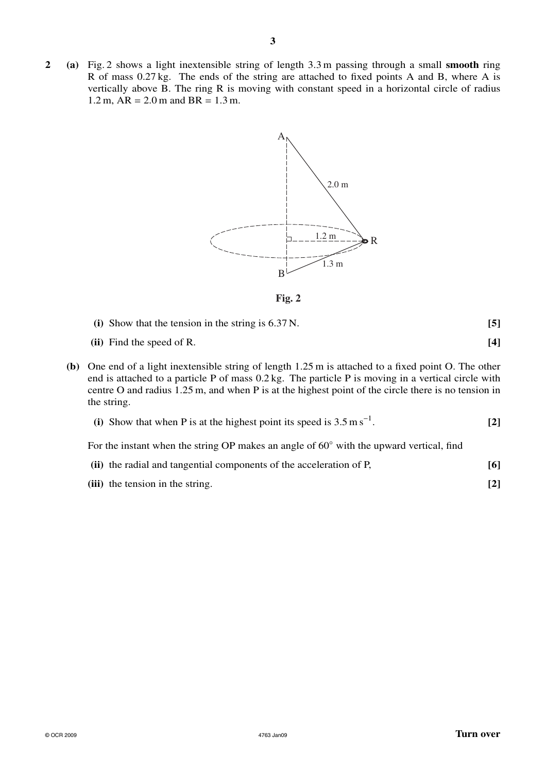**2 (a)** Fig. 2 shows a light inextensible string of length 3.3 m passing through a small **smooth** ring R of mass 0.27 kg. The ends of the string are attached to fixed points A and B, where A is vertically above B. The ring R is moving with constant speed in a horizontal circle of radius 1.2 m,  $AR = 2.0$  m and  $BR = 1.3$  m.





- **(i)** Show that the tension in the string is 6.37 N. **[5]**
- **(ii)** Find the speed of R. **[4]**
- **(b)** One end of a light inextensible string of length 1.25 m is attached to a fixed point O. The other end is attached to a particle P of mass 0.2 kg. The particle P is moving in a vertical circle with centre O and radius 1.25 m, and when P is at the highest point of the circle there is no tension in the string.

|  |  | (i) Show that when P is at the highest point its speed is $3.5 \text{ m s}^{-1}$ . |  |  |
|--|--|------------------------------------------------------------------------------------|--|--|
|--|--|------------------------------------------------------------------------------------|--|--|

For the instant when the string OP makes an angle of  $60°$  with the upward vertical, find

- **(ii)** the radial and tangential components of the acceleration of P, **[6]**
- **(iii)** the tension in the string. **[2]**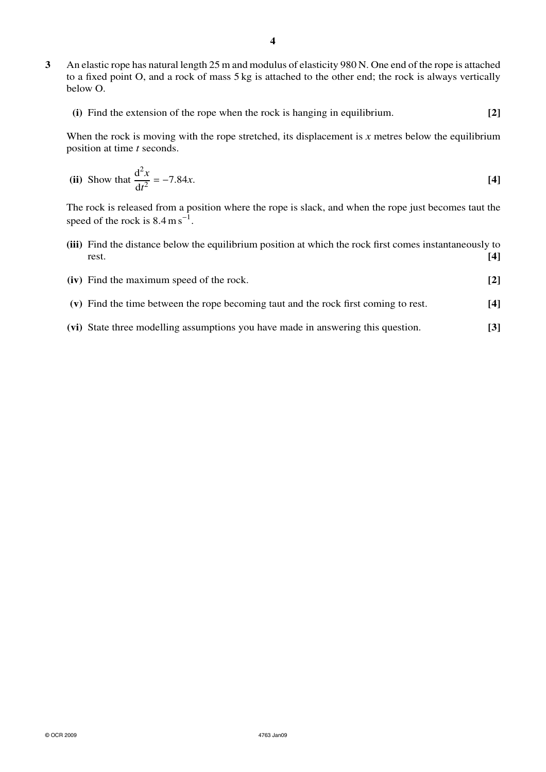- **3** An elastic rope has natural length 25 m and modulus of elasticity 980 N. One end of the rope is attached to a fixed point O, and a rock of mass 5 kg is attached to the other end; the rock is always vertically below O.
	- **(i)** Find the extension of the rope when the rock is hanging in equilibrium. **[2]**

When the rock is moving with the rope stretched, its displacement is x metres below the equilibrium position at time *t* seconds.

(ii) Show that 
$$
\frac{d^2x}{dt^2} = -7.84x
$$
. [4]

The rock is released from a position where the rope is slack, and when the rope just becomes taut the speed of the rock is  $8.4 \text{ m s}^{-1}$ .

- **(iii)** Find the distance below the equilibrium position at which the rock first comes instantaneously to rest. **[4]**
- **(iv)** Find the maximum speed of the rock. **[2]**
- **(v)** Find the time between the rope becoming taut and the rock first coming to rest. **[4]**
- **(vi)** State three modelling assumptions you have made in answering this question. **[3]**

© OCR 2009 4763 Jan09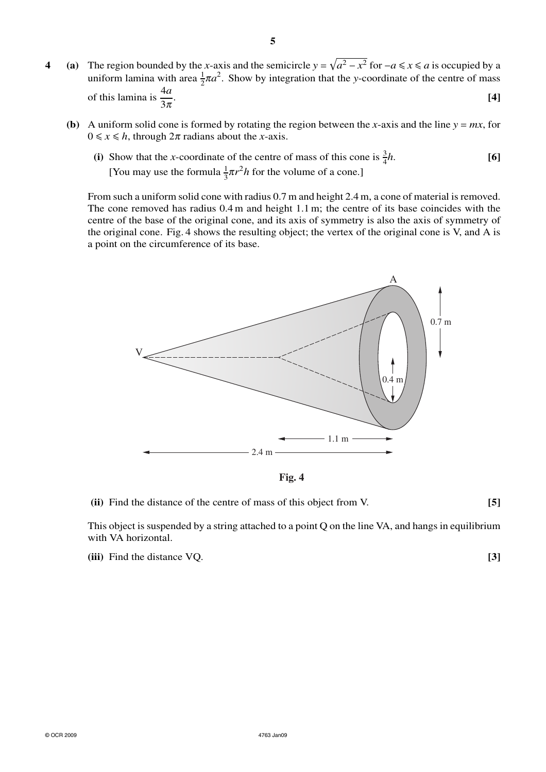- **4** (a) The region bounded by the *x*-axis and the semicircle  $y = \sqrt{a^2 x^2}$  for  $-a \le x \le a$  is occupied by a uniform lamina with area  $\frac{1}{2}\pi a^2$ . Show by integration that the *y*-coordinate of the centre of mass of this lamina is  $\frac{4a}{3\pi}$ . **[4]**
	- **(b)** A uniform solid cone is formed by rotating the region between the *x*-axis and the line  $y = mx$ , for  $0 \le x \le h$ , through  $2\pi$  radians about the *x*-axis.
		- (i) Show that the *x*-coordinate of the centre of mass of this cone is  $\frac{3}{4}$ *h*. **[6]** [You may use the formula  $\frac{1}{3}\pi r^2 h$  for the volume of a cone.]

From such a uniform solid cone with radius 0.7 m and height 2.4 m, a cone of material is removed. The cone removed has radius 0.4 m and height 1.1 m; the centre of its base coincides with the centre of the base of the original cone, and its axis of symmetry is also the axis of symmetry of the original cone. Fig. 4 shows the resulting object; the vertex of the original cone is V, and A is a point on the circumference of its base.



**Fig. 4**

**(ii)** Find the distance of the centre of mass of this object from V. **[5]**

This object is suspended by a string attached to a point Q on the line VA, and hangs in equilibrium with VA horizontal.

**(iii)** Find the distance VQ. **[3]**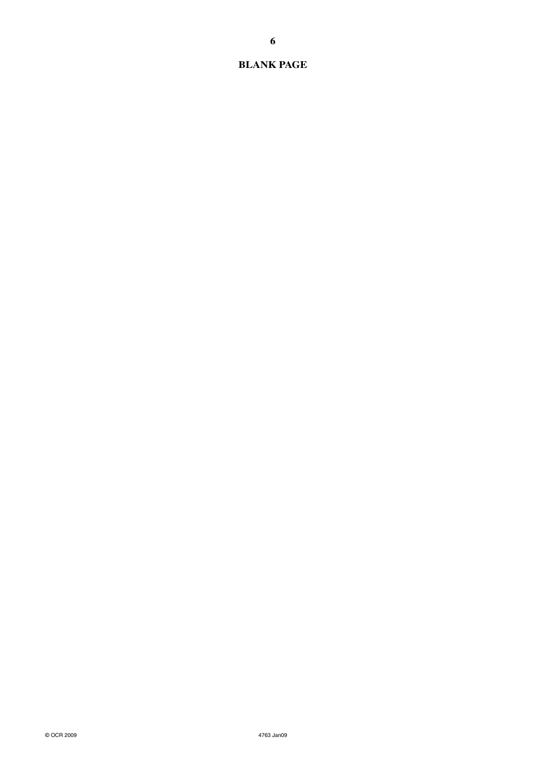# **BLANK PAGE**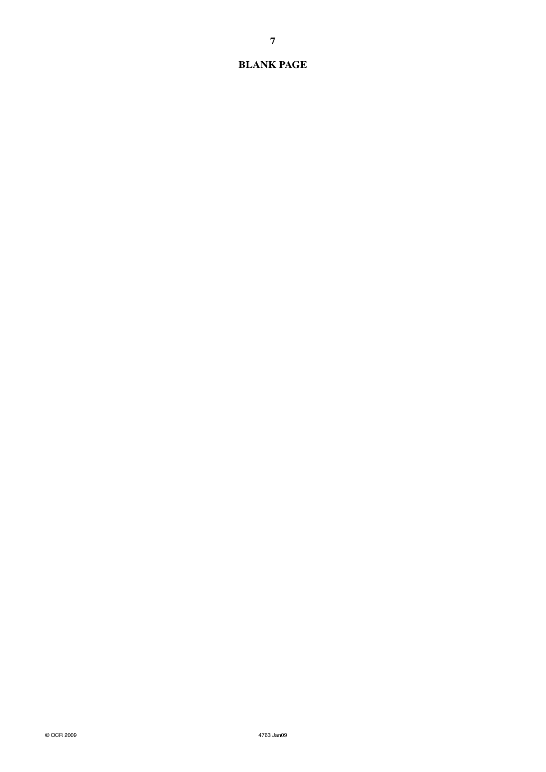# **BLANK PAGE**